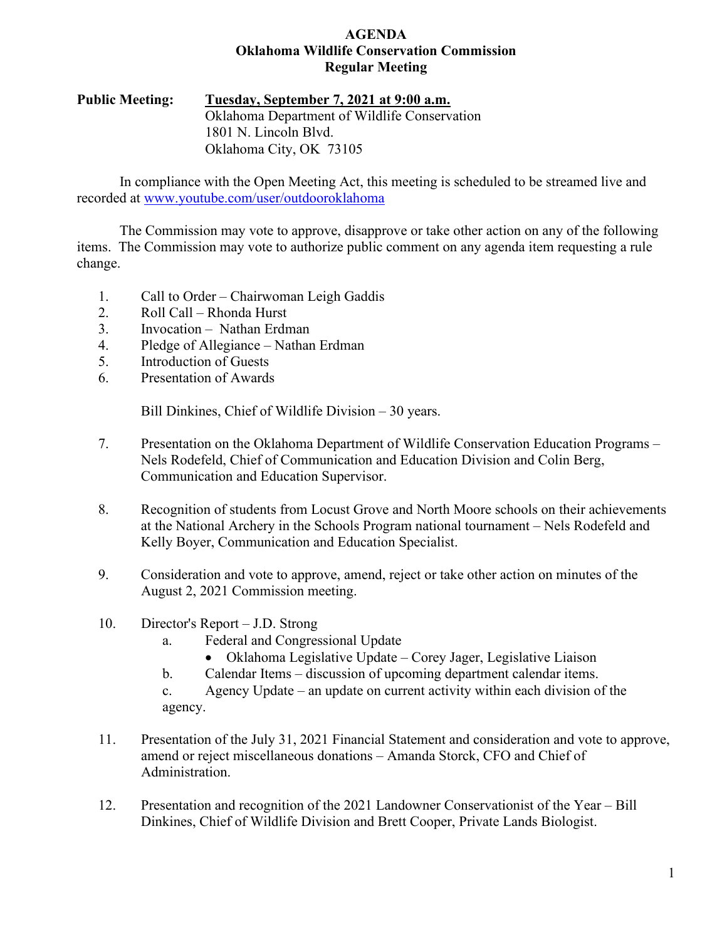## **AGENDA Oklahoma Wildlife Conservation Commission Regular Meeting**

# **Public Meeting: Tuesday, September 7, 2021 at 9:00 a.m.** Oklahoma Department of Wildlife Conservation 1801 N. Lincoln Blvd. Oklahoma City, OK 73105

In compliance with the Open Meeting Act, this meeting is scheduled to be streamed live and recorded at [www.youtube.com/user/outdooroklahoma](http://www.youtube.com/user/outdooroklahoma)

The Commission may vote to approve, disapprove or take other action on any of the following items. The Commission may vote to authorize public comment on any agenda item requesting a rule change.

- 1. Call to Order Chairwoman Leigh Gaddis
- 2. Roll Call Rhonda Hurst
- 3. Invocation Nathan Erdman
- 4. Pledge of Allegiance Nathan Erdman
- 5. Introduction of Guests
- 6. Presentation of Awards

Bill Dinkines, Chief of Wildlife Division – 30 years.

- 7. Presentation on the Oklahoma Department of Wildlife Conservation Education Programs Nels Rodefeld, Chief of Communication and Education Division and Colin Berg, Communication and Education Supervisor.
- 8. Recognition of students from Locust Grove and North Moore schools on their achievements at the National Archery in the Schools Program national tournament – Nels Rodefeld and Kelly Boyer, Communication and Education Specialist.
- 9. Consideration and vote to approve, amend, reject or take other action on minutes of the August 2, 2021 Commission meeting.
- 10. Director's Report J.D. Strong
	- a. Federal and Congressional Update
		- Oklahoma Legislative Update Corey Jager, Legislative Liaison
	- b. Calendar Items discussion of upcoming department calendar items.
	- c. Agency Update an update on current activity within each division of the agency.
- 11. Presentation of the July 31, 2021 Financial Statement and consideration and vote to approve, amend or reject miscellaneous donations – Amanda Storck, CFO and Chief of Administration.
- 12. Presentation and recognition of the 2021 Landowner Conservationist of the Year Bill Dinkines, Chief of Wildlife Division and Brett Cooper, Private Lands Biologist.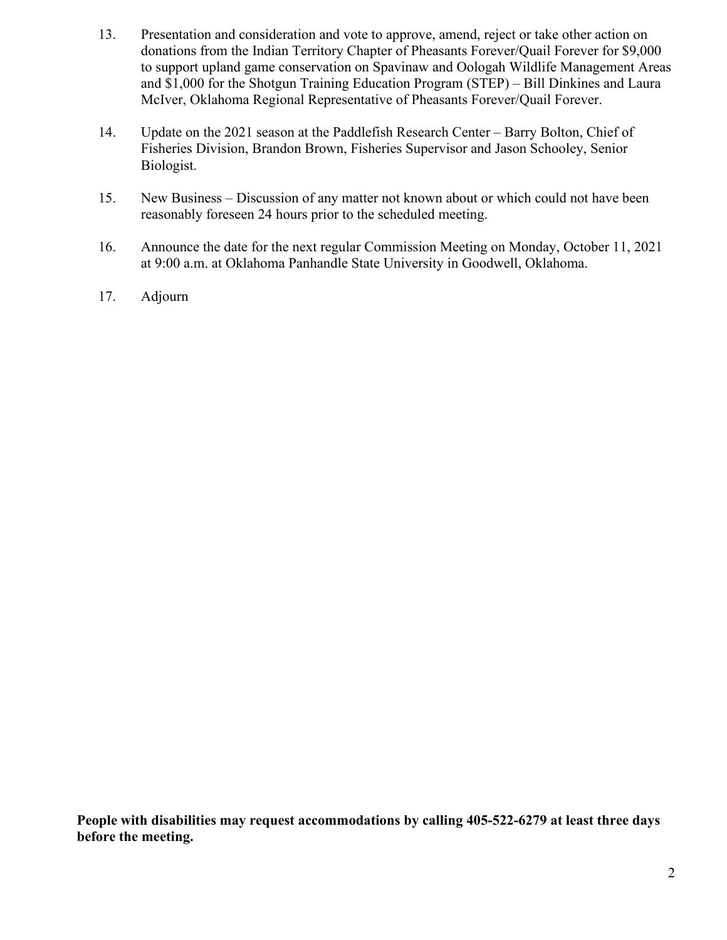- 13. Presentation and consideration and vote to approve, amend, reject or take other action on donations from the Indian Territory Chapter of Pheasants Forever/Quail Forever for \$9,000 to support upland game conservation on Spavinaw and Oologah Wildlife Management Areas and \$1,000 for the Shotgun Training Education Program (STEP) – Bill Dinkines and Laura McIver, Oklahoma Regional Representative of Pheasants Forever/Quail Forever.
- 14. Update on the 2021 season at the Paddlefish Research Center Barry Bolton, Chief of Fisheries Division, Brandon Brown, Fisheries Supervisor and Jason Schooley, Senior Biologist.
- 15. New Business Discussion of any matter not known about or which could not have been reasonably foreseen 24 hours prior to the scheduled meeting.
- 16. Announce the date for the next regular Commission Meeting on Monday, October 11, 2021 at 9:00 a.m. at Oklahoma Panhandle State University in Goodwell, Oklahoma.
- 17. Adjourn

**People with disabilities may request accommodations by calling 405-522-6279 at least three days before the meeting.**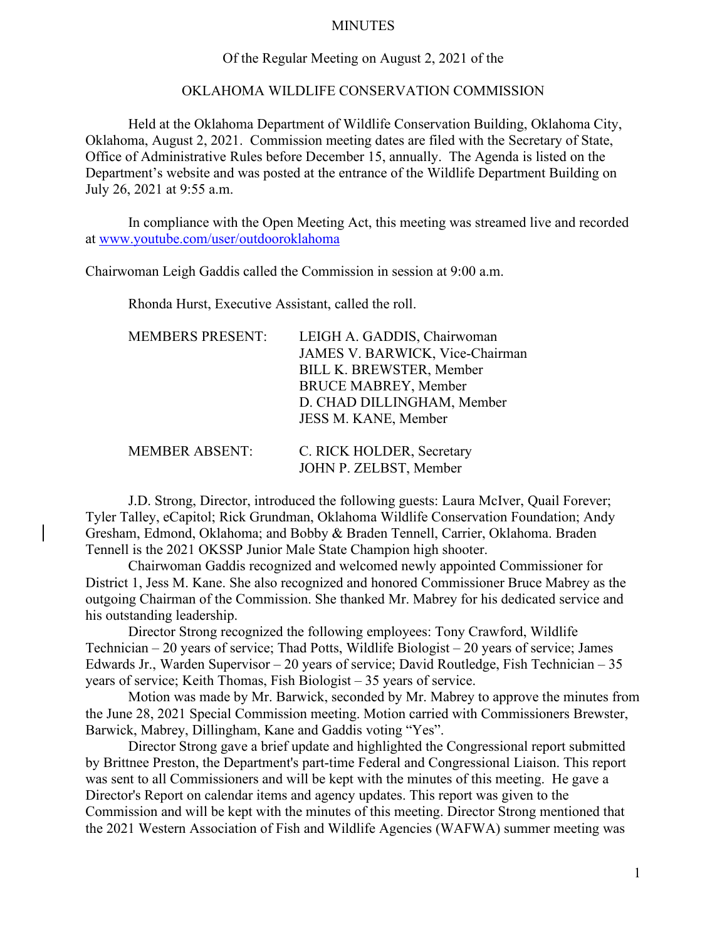### MINUTES

### Of the Regular Meeting on August 2, 2021 of the

### OKLAHOMA WILDLIFE CONSERVATION COMMISSION

Held at the Oklahoma Department of Wildlife Conservation Building, Oklahoma City, Oklahoma, August 2, 2021. Commission meeting dates are filed with the Secretary of State, Office of Administrative Rules before December 15, annually. The Agenda is listed on the Department's website and was posted at the entrance of the Wildlife Department Building on July 26, 2021 at 9:55 a.m.

In compliance with the Open Meeting Act, this meeting was streamed live and recorded at [www.youtube.com/user/outdooroklahoma](http://www.youtube.com/user/outdooroklahoma)

Chairwoman Leigh Gaddis called the Commission in session at 9:00 a.m.

Rhonda Hurst, Executive Assistant, called the roll.

| <b>MEMBERS PRESENT:</b> | LEIGH A. GADDIS, Chairwoman     |
|-------------------------|---------------------------------|
|                         | JAMES V. BARWICK, Vice-Chairman |
|                         | BILL K. BREWSTER, Member        |
|                         | <b>BRUCE MABREY, Member</b>     |
|                         | D. CHAD DILLINGHAM, Member      |
|                         | JESS M. KANE, Member            |
|                         |                                 |
| <b>MEMBER ABSENT:</b>   | C. RICK HOLDER, Secretary       |
|                         | JOHN P. ZELBST, Member          |

J.D. Strong, Director, introduced the following guests: Laura McIver, Quail Forever; Tyler Talley, eCapitol; Rick Grundman, Oklahoma Wildlife Conservation Foundation; Andy Gresham, Edmond, Oklahoma; and Bobby & Braden Tennell, Carrier, Oklahoma. Braden Tennell is the 2021 OKSSP Junior Male State Champion high shooter.

Chairwoman Gaddis recognized and welcomed newly appointed Commissioner for District 1, Jess M. Kane. She also recognized and honored Commissioner Bruce Mabrey as the outgoing Chairman of the Commission. She thanked Mr. Mabrey for his dedicated service and his outstanding leadership.

Director Strong recognized the following employees: Tony Crawford, Wildlife Technician – 20 years of service; Thad Potts, Wildlife Biologist – 20 years of service; James Edwards Jr., Warden Supervisor – 20 years of service; David Routledge, Fish Technician – 35 years of service; Keith Thomas, Fish Biologist – 35 years of service.

Motion was made by Mr. Barwick, seconded by Mr. Mabrey to approve the minutes from the June 28, 2021 Special Commission meeting. Motion carried with Commissioners Brewster, Barwick, Mabrey, Dillingham, Kane and Gaddis voting "Yes".

Director Strong gave a brief update and highlighted the Congressional report submitted by Brittnee Preston, the Department's part-time Federal and Congressional Liaison. This report was sent to all Commissioners and will be kept with the minutes of this meeting. He gave a Director's Report on calendar items and agency updates. This report was given to the Commission and will be kept with the minutes of this meeting. Director Strong mentioned that the 2021 Western Association of Fish and Wildlife Agencies (WAFWA) summer meeting was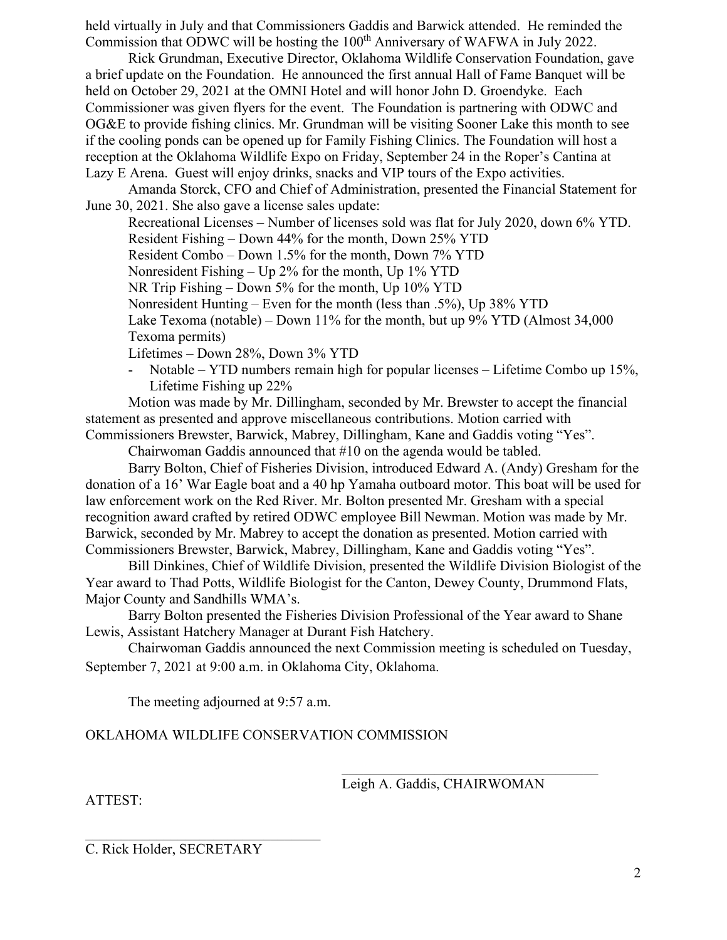held virtually in July and that Commissioners Gaddis and Barwick attended. He reminded the Commission that ODWC will be hosting the 100<sup>th</sup> Anniversary of WAFWA in July 2022.

Rick Grundman, Executive Director, Oklahoma Wildlife Conservation Foundation, gave a brief update on the Foundation. He announced the first annual Hall of Fame Banquet will be held on October 29, 2021 at the OMNI Hotel and will honor John D. Groendyke. Each Commissioner was given flyers for the event. The Foundation is partnering with ODWC and OG&E to provide fishing clinics. Mr. Grundman will be visiting Sooner Lake this month to see if the cooling ponds can be opened up for Family Fishing Clinics. The Foundation will host a reception at the Oklahoma Wildlife Expo on Friday, September 24 in the Roper's Cantina at Lazy E Arena. Guest will enjoy drinks, snacks and VIP tours of the Expo activities.

Amanda Storck, CFO and Chief of Administration, presented the Financial Statement for June 30, 2021. She also gave a license sales update:

Recreational Licenses – Number of licenses sold was flat for July 2020, down 6% YTD. Resident Fishing – Down 44% for the month, Down 25% YTD Resident Combo – Down 1.5% for the month, Down 7% YTD Nonresident Fishing – Up 2% for the month, Up 1% YTD NR Trip Fishing – Down 5% for the month, Up 10% YTD Nonresident Hunting – Even for the month (less than .5%), Up 38% YTD Lake Texoma (notable) – Down 11% for the month, but up 9% YTD (Almost 34,000 Texoma permits)

Lifetimes – Down 28%, Down 3% YTD

- Notable – YTD numbers remain high for popular licenses – Lifetime Combo up 15%, Lifetime Fishing up 22%

Motion was made by Mr. Dillingham, seconded by Mr. Brewster to accept the financial statement as presented and approve miscellaneous contributions. Motion carried with Commissioners Brewster, Barwick, Mabrey, Dillingham, Kane and Gaddis voting "Yes".

Chairwoman Gaddis announced that #10 on the agenda would be tabled.

Barry Bolton, Chief of Fisheries Division, introduced Edward A. (Andy) Gresham for the donation of a 16' War Eagle boat and a 40 hp Yamaha outboard motor. This boat will be used for law enforcement work on the Red River. Mr. Bolton presented Mr. Gresham with a special recognition award crafted by retired ODWC employee Bill Newman. Motion was made by Mr. Barwick, seconded by Mr. Mabrey to accept the donation as presented. Motion carried with Commissioners Brewster, Barwick, Mabrey, Dillingham, Kane and Gaddis voting "Yes".

Bill Dinkines, Chief of Wildlife Division, presented the Wildlife Division Biologist of the Year award to Thad Potts, Wildlife Biologist for the Canton, Dewey County, Drummond Flats, Major County and Sandhills WMA's.

Barry Bolton presented the Fisheries Division Professional of the Year award to Shane Lewis, Assistant Hatchery Manager at Durant Fish Hatchery.

Chairwoman Gaddis announced the next Commission meeting is scheduled on Tuesday, September 7, 2021 at 9:00 a.m. in Oklahoma City, Oklahoma.

The meeting adjourned at 9:57 a.m.

# OKLAHOMA WILDLIFE CONSERVATION COMMISSION

Leigh A. Gaddis, CHAIRWOMAN

ATTEST:

C. Rick Holder, SECRETARY

 $\mathcal{L}_\mathcal{L}$  , where  $\mathcal{L}_\mathcal{L}$  , we have the set of the set of the set of the set of the set of the set of the set of the set of the set of the set of the set of the set of the set of the set of the set of the set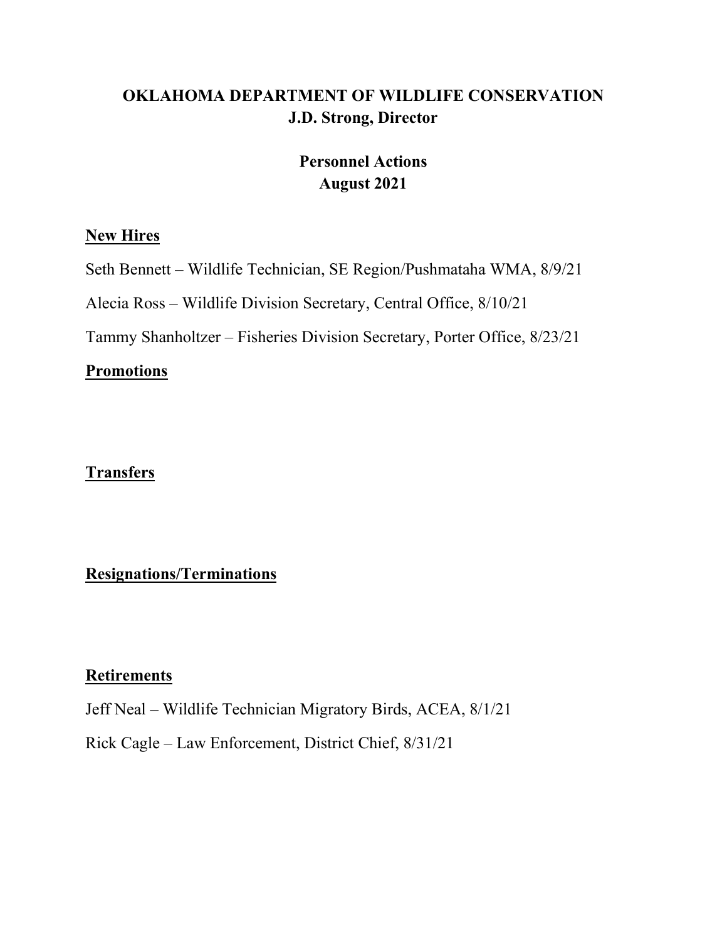# **OKLAHOMA DEPARTMENT OF WILDLIFE CONSERVATION J.D. Strong, Director**

# **Personnel Actions August 2021**

# **New Hires**

Seth Bennett – Wildlife Technician, SE Region/Pushmataha WMA, 8/9/21

Alecia Ross – Wildlife Division Secretary, Central Office, 8/10/21

Tammy Shanholtzer – Fisheries Division Secretary, Porter Office, 8/23/21

# **Promotions**

# **Transfers**

# **Resignations/Terminations**

# **Retirements**

Jeff Neal – Wildlife Technician Migratory Birds, ACEA, 8/1/21

Rick Cagle – Law Enforcement, District Chief, 8/31/21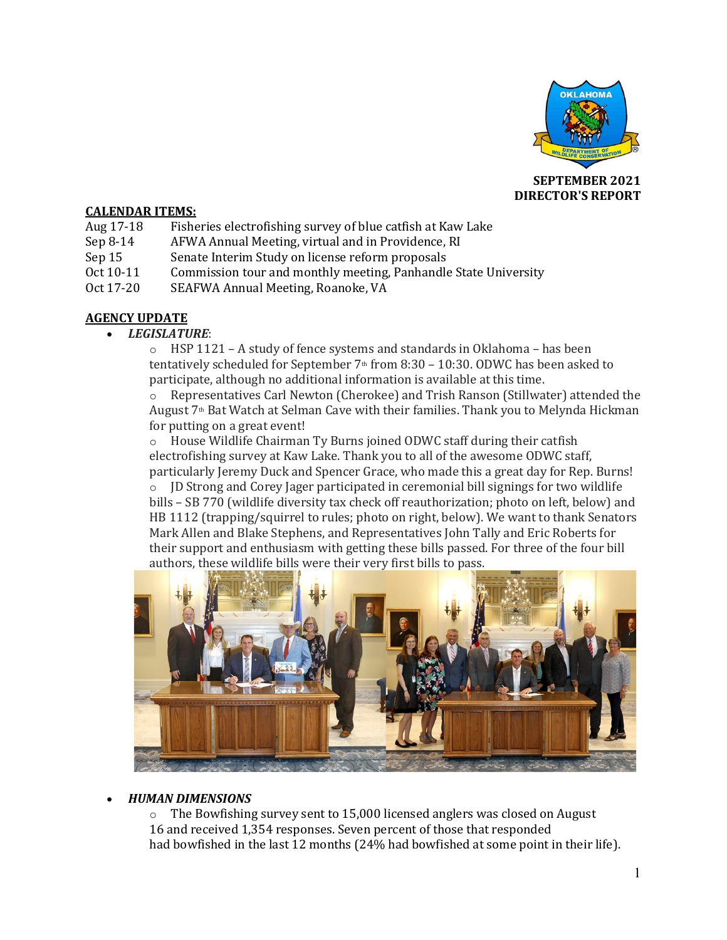

**SEPTEMBER 2021 DIRECTOR'S REPORT**

### **CALENDAR ITEMS:**

- Aug 17-18 Fisheries electrofishing survey of blue catfish at Kaw Lake Sep 8-14 AFWA Annual Meeting, virtual and in Providence, RI
- Sep 8-14 AFWA Annual Meeting, virtual and in Providence, RI<br>Sep 15 Senate Interim Study on license reform proposals
- Sep 15 Senate Interim Study on license reform proposals<br>Oct 10-11 Commission tour and monthly meeting. Panhandle
- Oct 10-11 Commission tour and monthly meeting, Panhandle State University<br>Oct 17-20 SEAFWA Annual Meeting, Roanoke, VA
- SEAFWA Annual Meeting, Roanoke, VA

## **AGENCY UPDATE**

### • *LEGISLATURE*:

o HSP 1121 – A study of fence systems and standards in Oklahoma – has been tentatively scheduled for September  $7<sup>th</sup>$  from 8:30 – 10:30. ODWC has been asked to participate, although no additional information is available at this time.

o Representatives Carl Newton (Cherokee) and Trish Ranson (Stillwater) attended the August 7th Bat Watch at Selman Cave with their families. Thank you to Melynda Hickman for putting on a great event!

o House Wildlife Chairman Ty Burns joined ODWC staff during their catfish electrofishing survey at Kaw Lake. Thank you to all of the awesome ODWC staff,

particularly Jeremy Duck and Spencer Grace, who made this a great day for Rep. Burns!<br>  $\circ$  ID Strong and Corey Jager participated in ceremonial bill signings for two wildlife o JD Strong and Corey Jager participated in ceremonial bill signings for two wildlife bills – SB 770 (wildlife diversity tax check off reauthorization; photo on left, below) and HB 1112 (trapping/squirrel to rules; photo on right, below). We want to thank Senators Mark Allen and Blake Stephens, and Representatives John Tally and Eric Roberts for their support and enthusiasm with getting these bills passed. For three of the four bill authors, these wildlife bills were their very first bills to pass.



### • *HUMAN DIMENSIONS*

 $\circ$  The Bowfishing survey sent to 15,000 licensed anglers was closed on August 16 and received 1,354 responses. Seven percent of those that responded had bowfished in the last 12 months (24% had bowfished at some point in their life).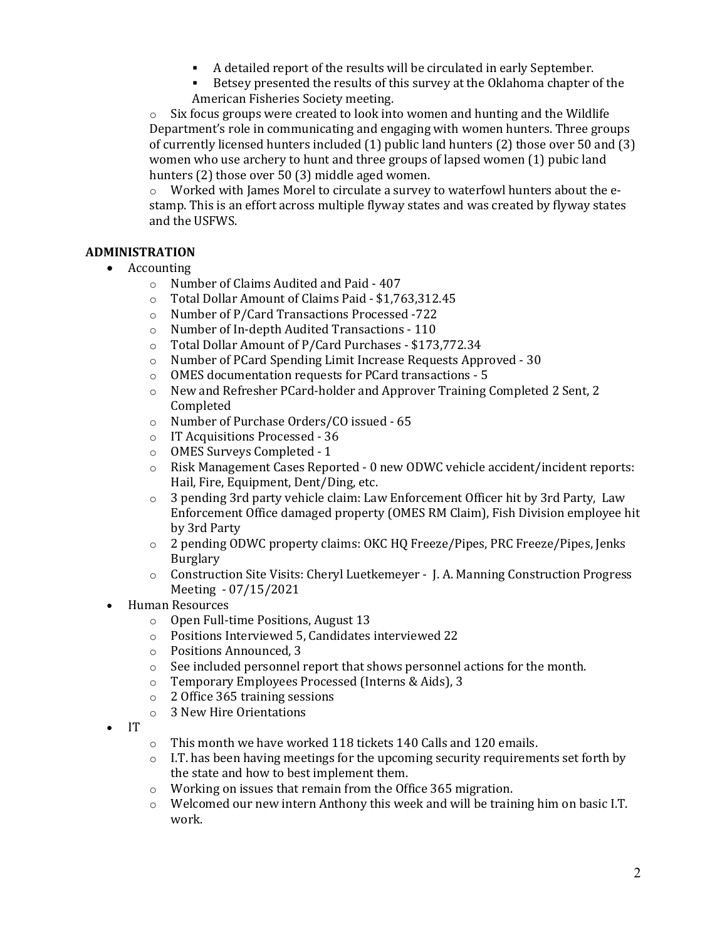- A detailed report of the results will be circulated in early September.<br>Betsey presented the results of this survey at the Oklahoma chapter of
- Betsey presented the results of this survey at the Oklahoma chapter of the American Fisheries Society meeting.

 $\circ$  Six focus groups were created to look into women and hunting and the Wildlife Department's role in communicating and engaging with women hunters. Three groups of currently licensed hunters included (1) public land hunters (2) those over 50 and (3) women who use archery to hunt and three groups of lapsed women (1) pubic land hunters (2) those over 50 (3) middle aged women.

 $\circ$  Worked with James Morel to circulate a survey to waterfowl hunters about the estamp. This is an effort across multiple flyway states and was created by flyway states and the USFWS.

## **ADMINISTRATION**

- Accounting
	- $\circ$  Number of Claims Audited and Paid 407<br> $\circ$  Total Dollar Amount of Claims Paid \$1.76
	- Total Dollar Amount of Claims Paid \$1,763,312.45
	- o Number of P/Card Transactions Processed -722
	-
	- o Number of In-depth Audited Transactions 110 Total Dollar Amount of P/Card Purchases - \$173,772.34
	- o Number of PCard Spending Limit Increase Requests Approved 30
	- o OMES documentation requests for PCard transactions 5
	- o New and Refresher PCard-holder and Approver Training Completed 2 Sent, 2 Completed
	- o Number of Purchase Orders/CO issued 65
	- o IT Acquisitions Processed 36<br>  $\circ$  OMES Surveys Completed 1
	- OMES Surveys Completed 1
	- o Risk Management Cases Reported 0 new ODWC vehicle accident/incident reports: Hail, Fire, Equipment, Dent/Ding, etc.
	- $\circ$  3 pending 3rd party vehicle claim: Law Enforcement Officer hit by 3rd Party, Law Enforcement Office damaged property (OMES RM Claim), Fish Division employee hit by 3rd Party
	- o 2 pending ODWC property claims: OKC HQ Freeze/Pipes, PRC Freeze/Pipes, Jenks Burglary
	- o Construction Site Visits: Cheryl Luetkemeyer J. A. Manning Construction Progress Meeting - 07/15/2021
- Human Resources
	- o Open Full-time Positions, August 13
	- o Positions Interviewed 5, Candidates interviewed 22
	- o Positions Announced, 3
	- $\circ$  See included personnel report that shows personnel actions for the month.<br>  $\circ$  Temporary Employees Processed (Interns & Aids). 3
	- o Temporary Employees Processed (Interns & Aids), 3
	- o 2 Office 365 training sessions
	- o 3 New Hire Orientations
- IT
- o This month we have worked 118 tickets 140 Calls and 120 emails.
- $\circ$  I.T. has been having meetings for the upcoming security requirements set forth by the state and how to best implement them.
- o Working on issues that remain from the Office 365 migration.
- $\circ$  Welcomed our new intern Anthony this week and will be training him on basic I.T. work.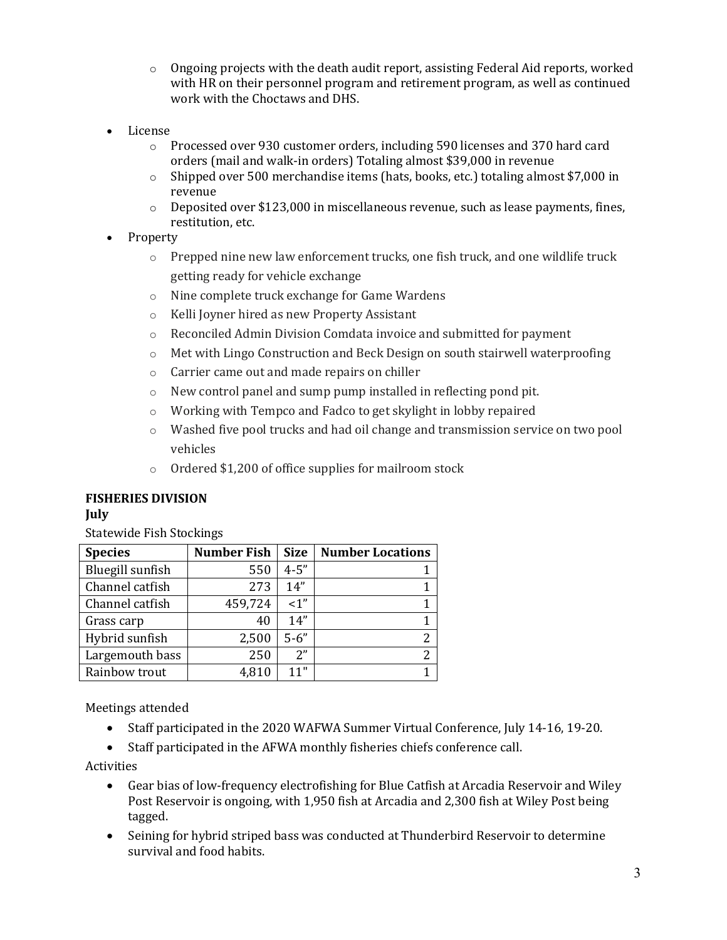- $\circ$  Ongoing projects with the death audit report, assisting Federal Aid reports, worked with HR on their personnel program and retirement program, as well as continued work with the Choctaws and DHS.
- License
	- o Processed over 930 customer orders, including 590 licenses and 370 hard card orders (mail and walk-in orders) Totaling almost \$39,000 in revenue
	- o Shipped over 500 merchandise items (hats, books, etc.) totaling almost \$7,000 in revenue
	- $\circ$  Deposited over \$123,000 in miscellaneous revenue, such as lease payments, fines, restitution, etc.
- Property
	- $\circ$  Prepped nine new law enforcement trucks, one fish truck, and one wildlife truck getting ready for vehicle exchange
	- o Nine complete truck exchange for Game Wardens
	- o Kelli Joyner hired as new Property Assistant
	- o Reconciled Admin Division Comdata invoice and submitted for payment
	- o Met with Lingo Construction and Beck Design on south stairwell waterproofing
	- o Carrier came out and made repairs on chiller
	- o New control panel and sump pump installed in reflecting pond pit.
	- o Working with Tempco and Fadco to get skylight in lobby repaired
	- o Washed five pool trucks and had oil change and transmission service on two pool vehicles
	- o Ordered \$1,200 of office supplies for mailroom stock

# **FISHERIES DIVISION**

## **July**

Statewide Fish Stockings

| <b>Species</b>   | <b>Number Fish</b> | <b>Size</b> | <b>Number Locations</b> |
|------------------|--------------------|-------------|-------------------------|
| Bluegill sunfish | 550                | $4 - 5"$    |                         |
| Channel catfish  | 273                | 14"         |                         |
| Channel catfish  | 459,724            | $\leq 1$ "  |                         |
| Grass carp       | 40                 | 14"         |                         |
| Hybrid sunfish   | 2,500              | $5 - 6"$    |                         |
| Largemouth bass  | 250                | 2"          |                         |
| Rainbow trout    | 4,810              | 11"         |                         |

Meetings attended

- Staff participated in the 2020 WAFWA Summer Virtual Conference, July 14-16, 19-20.
- Staff participated in the AFWA monthly fisheries chiefs conference call.

Activities

- Gear bias of low-frequency electrofishing for Blue Catfish at Arcadia Reservoir and Wiley Post Reservoir is ongoing, with 1,950 fish at Arcadia and 2,300 fish at Wiley Post being tagged.
- Seining for hybrid striped bass was conducted at Thunderbird Reservoir to determine survival and food habits.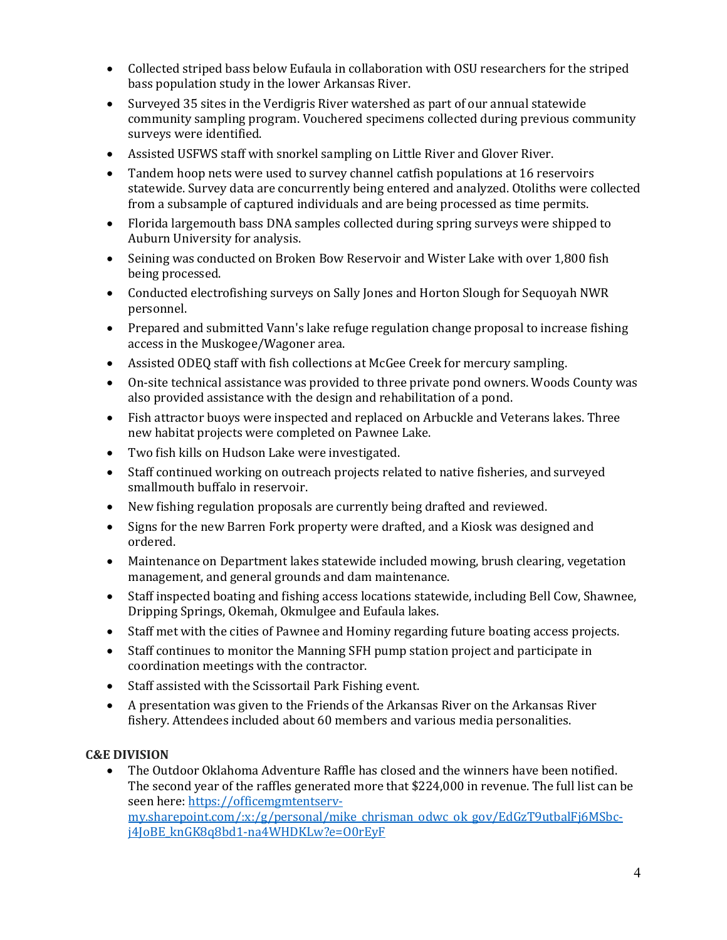- Collected striped bass below Eufaula in collaboration with OSU researchers for the striped bass population study in the lower Arkansas River.
- Surveyed 35 sites in the Verdigris River watershed as part of our annual statewide community sampling program. Vouchered specimens collected during previous community surveys were identified.
- Assisted USFWS staff with snorkel sampling on Little River and Glover River.
- Tandem hoop nets were used to survey channel catfish populations at 16 reservoirs statewide. Survey data are concurrently being entered and analyzed. Otoliths were collected from a subsample of captured individuals and are being processed as time permits.
- Florida largemouth bass DNA samples collected during spring surveys were shipped to Auburn University for analysis.
- Seining was conducted on Broken Bow Reservoir and Wister Lake with over 1,800 fish being processed.
- Conducted electrofishing surveys on Sally Jones and Horton Slough for Sequoyah NWR personnel.
- Prepared and submitted Vann's lake refuge regulation change proposal to increase fishing access in the Muskogee/Wagoner area.
- Assisted ODEQ staff with fish collections at McGee Creek for mercury sampling.
- On-site technical assistance was provided to three private pond owners. Woods County was also provided assistance with the design and rehabilitation of a pond.
- Fish attractor buoys were inspected and replaced on Arbuckle and Veterans lakes. Three new habitat projects were completed on Pawnee Lake.
- Two fish kills on Hudson Lake were investigated.
- Staff continued working on outreach projects related to native fisheries, and surveyed smallmouth buffalo in reservoir.
- New fishing regulation proposals are currently being drafted and reviewed.
- Signs for the new Barren Fork property were drafted, and a Kiosk was designed and ordered.
- Maintenance on Department lakes statewide included mowing, brush clearing, vegetation management, and general grounds and dam maintenance.
- Staff inspected boating and fishing access locations statewide, including Bell Cow, Shawnee, Dripping Springs, Okemah, Okmulgee and Eufaula lakes.
- Staff met with the cities of Pawnee and Hominy regarding future boating access projects.
- Staff continues to monitor the Manning SFH pump station project and participate in coordination meetings with the contractor.
- Staff assisted with the Scissortail Park Fishing event.
- A presentation was given to the Friends of the Arkansas River on the Arkansas River fishery. Attendees included about 60 members and various media personalities.

## **C&E DIVISION**

• The Outdoor Oklahoma Adventure Raffle has closed and the winners have been notified. The second year of the raffles generated more that \$224,000 in revenue. The full list can be seen here: [https://officemgmtentserv](https://officemgmtentserv-my.sharepoint.com/:x:/g/personal/mike_chrisman_odwc_ok_gov/EdGzT9utbalFj6MSbc-j4JoBE_knGK8q8bd1-na4WHDKLw?e=O0rEyF)[my.sharepoint.com/:x:/g/personal/mike\\_chrisman\\_odwc\\_ok\\_gov/EdGzT9utbalFj6MSbc](https://officemgmtentserv-my.sharepoint.com/:x:/g/personal/mike_chrisman_odwc_ok_gov/EdGzT9utbalFj6MSbc-j4JoBE_knGK8q8bd1-na4WHDKLw?e=O0rEyF)[j4JoBE\\_knGK8q8bd1-na4WHDKLw?e=O0rEyF](https://officemgmtentserv-my.sharepoint.com/:x:/g/personal/mike_chrisman_odwc_ok_gov/EdGzT9utbalFj6MSbc-j4JoBE_knGK8q8bd1-na4WHDKLw?e=O0rEyF)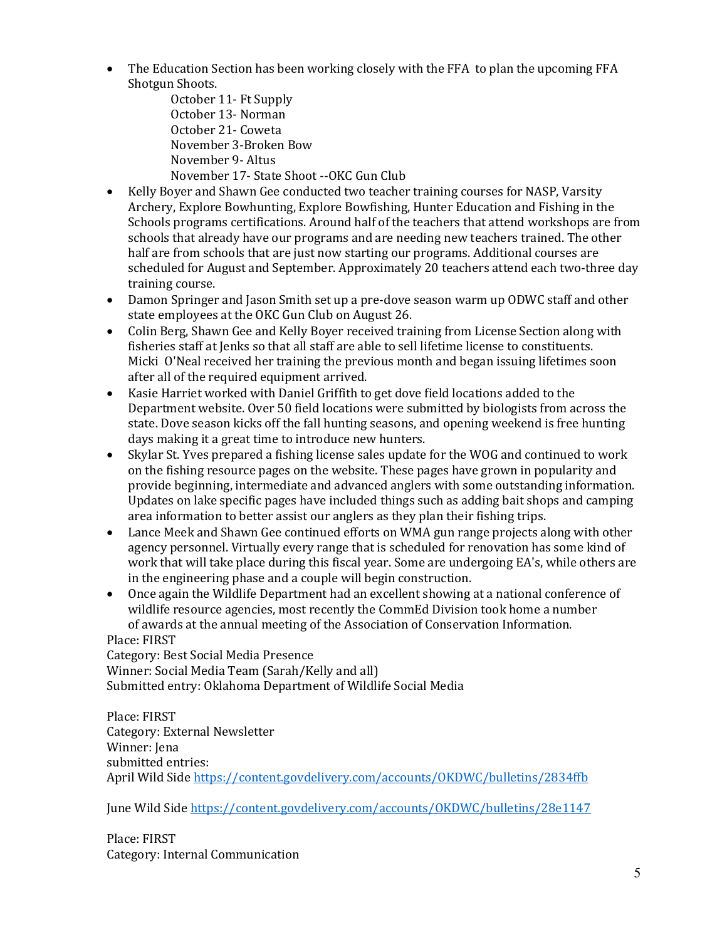- The Education Section has been working closely with the FFA to plan the upcoming FFA Shotgun Shoots.
	- October 11- Ft Supply October 13- Norman October 21- Coweta November 3-Broken Bow November 9- Altus November 17- State Shoot --OKC Gun Club
- Kelly Boyer and Shawn Gee conducted two teacher training courses for NASP, Varsity Archery, Explore Bowhunting, Explore Bowfishing, Hunter Education and Fishing in the Schools programs certifications. Around half of the teachers that attend workshops are from schools that already have our programs and are needing new teachers trained. The other half are from schools that are just now starting our programs. Additional courses are scheduled for August and September. Approximately 20 teachers attend each two-three day training course.
- Damon Springer and Jason Smith set up a pre-dove season warm up ODWC staff and other state employees at the OKC Gun Club on August 26.
- Colin Berg, Shawn Gee and Kelly Boyer received training from License Section along with fisheries staff at Jenks so that all staff are able to sell lifetime license to constituents. Micki O'Neal received her training the previous month and began issuing lifetimes soon after all of the required equipment arrived.
- Kasie Harriet worked with Daniel Griffith to get dove field locations added to the Department website. Over 50 field locations were submitted by biologists from across the state. Dove season kicks off the fall hunting seasons, and opening weekend is free hunting days making it a great time to introduce new hunters.
- Skylar St. Yves prepared a fishing license sales update for the WOG and continued to work on the fishing resource pages on the website. These pages have grown in popularity and provide beginning, intermediate and advanced anglers with some outstanding information. Updates on lake specific pages have included things such as adding bait shops and camping area information to better assist our anglers as they plan their fishing trips.
- Lance Meek and Shawn Gee continued efforts on WMA gun range projects along with other agency personnel. Virtually every range that is scheduled for renovation has some kind of work that will take place during this fiscal year. Some are undergoing EA's, while others are in the engineering phase and a couple will begin construction.
- Once again the Wildlife Department had an excellent showing at a national conference of wildlife resource agencies, most recently the CommEd Division took home a number of awards at the annual meeting of the Association of Conservation Information.

## Place: FIRST

Category: Best Social Media Presence Winner: Social Media Team (Sarah/Kelly and all) Submitted entry: Oklahoma Department of Wildlife Social Media

Place: FIRST Category: External Newsletter Winner: Jena submitted entries: April Wild Side <https://content.govdelivery.com/accounts/OKDWC/bulletins/2834ffb>

June Wild Side <https://content.govdelivery.com/accounts/OKDWC/bulletins/28e1147>

Place: FIRST Category: Internal Communication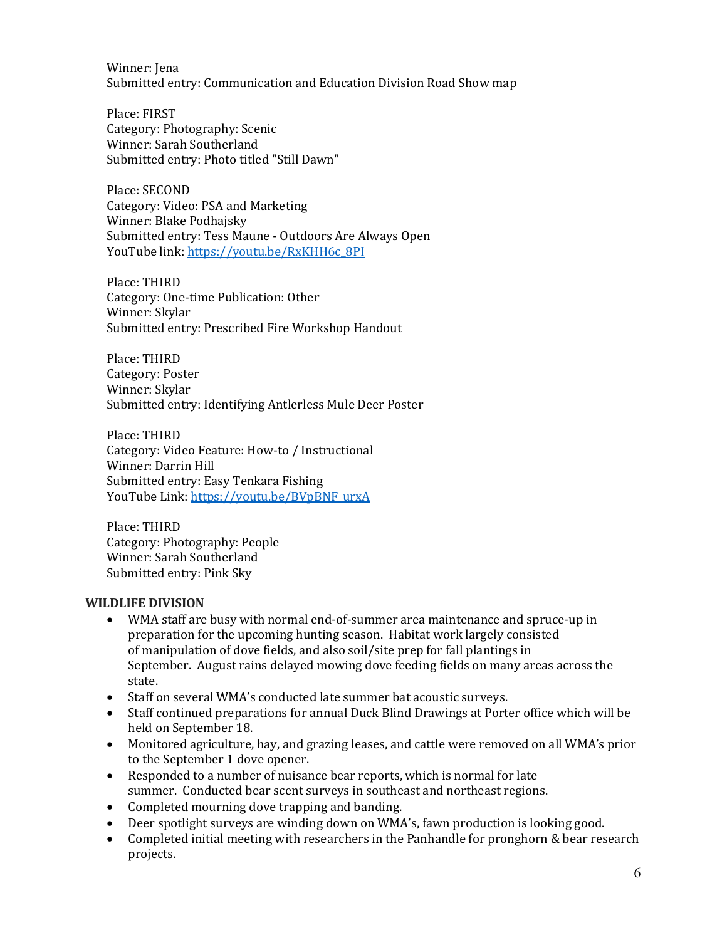Winner: Iena Submitted entry: Communication and Education Division Road Show map

Place: FIRST Category: Photography: Scenic Winner: Sarah Southerland Submitted entry: Photo titled "Still Dawn"

Place: SECOND Category: Video: PSA and Marketing Winner: Blake Podhajsky Submitted entry: Tess Maune - Outdoors Are Always Open YouTube link: [https://youtu.be/RxKHH6c\\_8PI](https://youtu.be/RxKHH6c_8PI)

Place: THIRD Category: One-time Publication: Other Winner: Skylar Submitted entry: Prescribed Fire Workshop Handout

Place: THIRD Category: Poster Winner: Skylar Submitted entry: Identifying Antlerless Mule Deer Poster

Place: THIRD Category: Video Feature: How-to / Instructional Winner: Darrin Hill Submitted entry: Easy Tenkara Fishing YouTube Link: [https://youtu.be/BVpBNF\\_urxA](https://youtu.be/BVpBNF_urxA)

Place: THIRD Category: Photography: People Winner: Sarah Southerland Submitted entry: Pink Sky

### **WILDLIFE DIVISION**

- WMA staff are busy with normal end-of-summer area maintenance and spruce-up in preparation for the upcoming hunting season. Habitat work largely consisted of manipulation of dove fields, and also soil/site prep for fall plantings in September. August rains delayed mowing dove feeding fields on many areas across the state.
- Staff on several WMA's conducted late summer bat acoustic surveys.
- Staff continued preparations for annual Duck Blind Drawings at Porter office which will be held on September 18.
- Monitored agriculture, hay, and grazing leases, and cattle were removed on all WMA's prior to the September 1 dove opener.
- Responded to a number of nuisance bear reports, which is normal for late summer. Conducted bear scent surveys in southeast and northeast regions.
- Completed mourning dove trapping and banding.
- Deer spotlight surveys are winding down on WMA's, fawn production is looking good.
- Completed initial meeting with researchers in the Panhandle for pronghorn & bear research projects.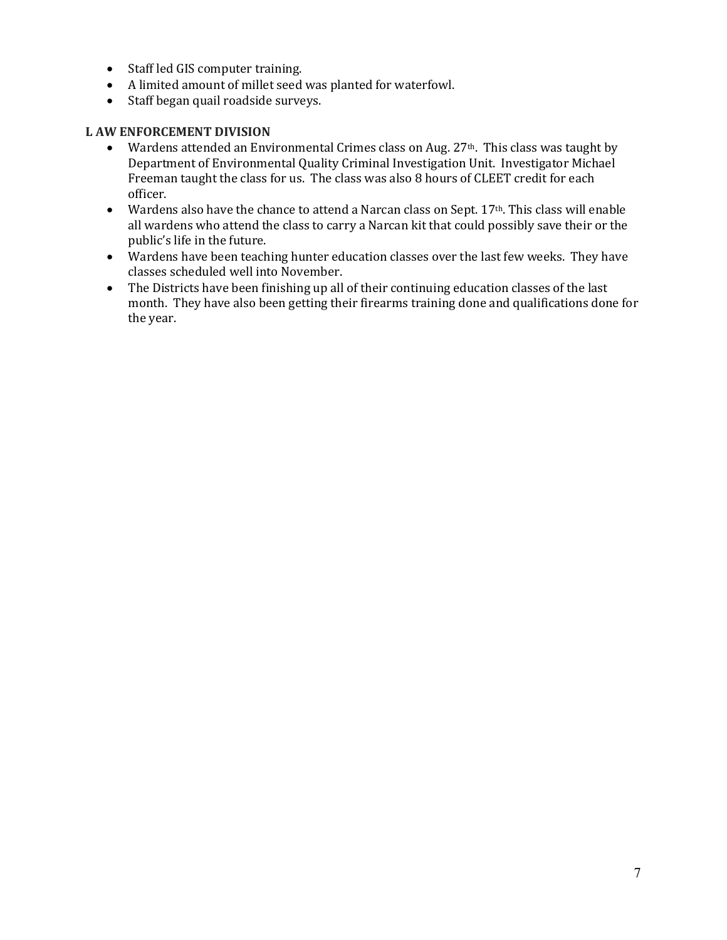- Staff led GIS computer training.
- A limited amount of millet seed was planted for waterfowl.
- Staff began quail roadside surveys.

## **L AW ENFORCEMENT DIVISION**

- Wardens attended an Environmental Crimes class on Aug. 27<sup>th</sup>. This class was taught by Department of Environmental Quality Criminal Investigation Unit. Investigator Michael Freeman taught the class for us. The class was also 8 hours of CLEET credit for each officer.
- Wardens also have the chance to attend a Narcan class on Sept. 17<sup>th</sup>. This class will enable all wardens who attend the class to carry a Narcan kit that could possibly save their or the public's life in the future.
- Wardens have been teaching hunter education classes over the last few weeks. They have classes scheduled well into November.
- The Districts have been finishing up all of their continuing education classes of the last month. They have also been getting their firearms training done and qualifications done for the year.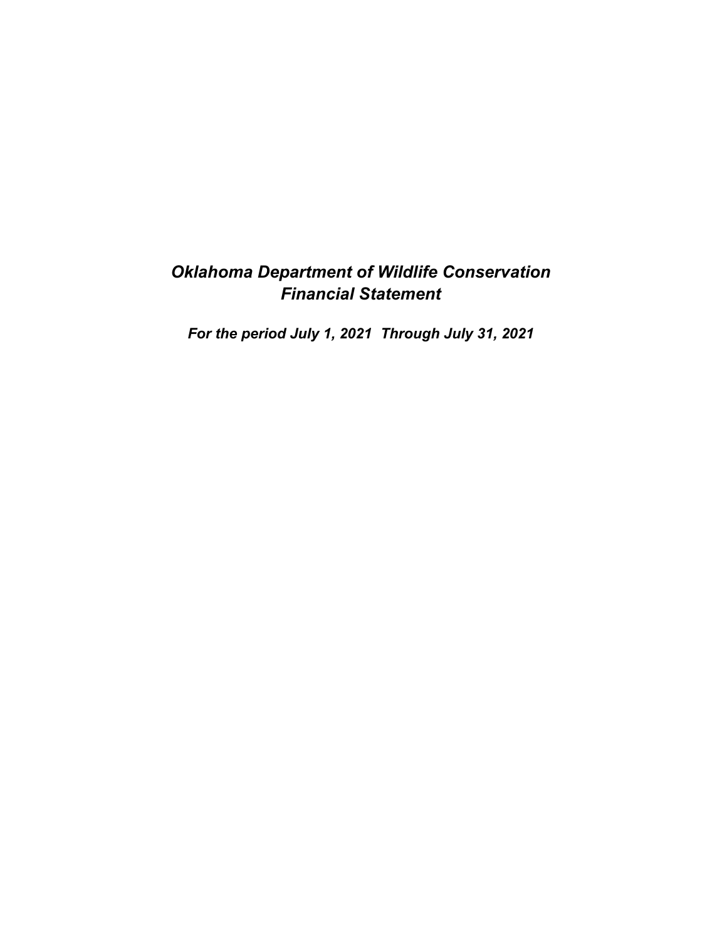# *Oklahoma Department of Wildlife Conservation Financial Statement*

*For the period July 1, 2021 Through July 31, 2021*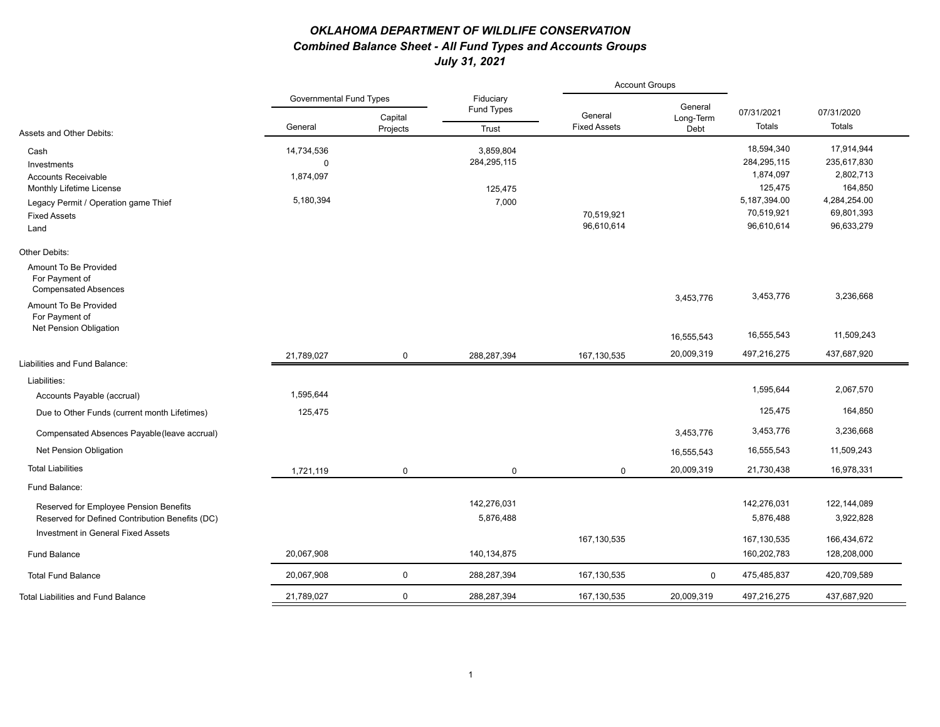## *OKLAHOMA DEPARTMENT OF WILDLIFE CONSERVATION Combined Balance Sheet - All Fund Types and Accounts Groups July 31, 2021*

|                                                                        |                                |                     |                         | <b>Account Groups</b>          |                   |                |              |
|------------------------------------------------------------------------|--------------------------------|---------------------|-------------------------|--------------------------------|-------------------|----------------|--------------|
|                                                                        | <b>Governmental Fund Types</b> |                     | Fiduciary<br>Fund Types |                                | General           | 07/31/2021     | 07/31/2020   |
| Assets and Other Debits:                                               | General                        | Capital<br>Projects | Trust                   | General<br><b>Fixed Assets</b> | Long-Term<br>Debt | Totals         | Totals       |
| Cash                                                                   | 14,734,536                     |                     | 3,859,804               |                                |                   | 18,594,340     | 17,914,944   |
| Investments                                                            | $\Omega$                       |                     | 284,295,115             |                                |                   | 284,295,115    | 235,617,830  |
| <b>Accounts Receivable</b>                                             | 1,874,097                      |                     |                         |                                |                   | 1,874,097      | 2,802,713    |
| Monthly Lifetime License                                               |                                |                     | 125,475                 |                                |                   | 125,475        | 164,850      |
| Legacy Permit / Operation game Thief                                   | 5,180,394                      |                     | 7,000                   |                                |                   | 5, 187, 394.00 | 4,284,254.00 |
| <b>Fixed Assets</b>                                                    |                                |                     |                         | 70,519,921                     |                   | 70,519,921     | 69,801,393   |
| Land                                                                   |                                |                     |                         | 96,610,614                     |                   | 96,610,614     | 96,633,279   |
| Other Debits:                                                          |                                |                     |                         |                                |                   |                |              |
| Amount To Be Provided<br>For Payment of<br><b>Compensated Absences</b> |                                |                     |                         |                                |                   |                |              |
| Amount To Be Provided                                                  |                                |                     |                         |                                | 3,453,776         | 3,453,776      | 3,236,668    |
| For Payment of<br>Net Pension Obligation                               |                                |                     |                         |                                |                   |                |              |
|                                                                        |                                |                     |                         |                                | 16,555,543        | 16,555,543     | 11,509,243   |
| Liabilities and Fund Balance:                                          | 21,789,027                     | $\pmb{0}$           | 288,287,394             | 167,130,535                    | 20,009,319        | 497,216,275    | 437,687,920  |
| Liabilities:                                                           |                                |                     |                         |                                |                   |                |              |
| Accounts Payable (accrual)                                             | 1,595,644                      |                     |                         |                                |                   | 1,595,644      | 2,067,570    |
| Due to Other Funds (current month Lifetimes)                           | 125,475                        |                     |                         |                                |                   | 125,475        | 164,850      |
|                                                                        |                                |                     |                         |                                | 3,453,776         | 3,453,776      | 3,236,668    |
| Compensated Absences Payable (leave accrual)                           |                                |                     |                         |                                |                   |                |              |
| Net Pension Obligation                                                 |                                |                     |                         |                                | 16,555,543        | 16,555,543     | 11,509,243   |
| <b>Total Liabilities</b>                                               | 1,721,119                      | 0                   | 0                       | $\mathbf 0$                    | 20,009,319        | 21,730,438     | 16,978,331   |
| Fund Balance:                                                          |                                |                     |                         |                                |                   |                |              |
| Reserved for Employee Pension Benefits                                 |                                |                     | 142,276,031             |                                |                   | 142,276,031    | 122,144,089  |
| Reserved for Defined Contribution Benefits (DC)                        |                                |                     | 5,876,488               |                                |                   | 5,876,488      | 3,922,828    |
| Investment in General Fixed Assets                                     |                                |                     |                         | 167,130,535                    |                   | 167,130,535    | 166,434,672  |
| <b>Fund Balance</b>                                                    | 20,067,908                     |                     | 140,134,875             |                                |                   | 160,202,783    | 128,208,000  |
| <b>Total Fund Balance</b>                                              | 20,067,908                     | $\pmb{0}$           | 288,287,394             | 167,130,535                    | $\mathbf 0$       | 475,485,837    | 420,709,589  |
| <b>Total Liabilities and Fund Balance</b>                              | 21,789,027                     | 0                   | 288,287,394             | 167,130,535                    | 20,009,319        | 497,216,275    | 437,687,920  |
|                                                                        |                                |                     |                         |                                |                   |                |              |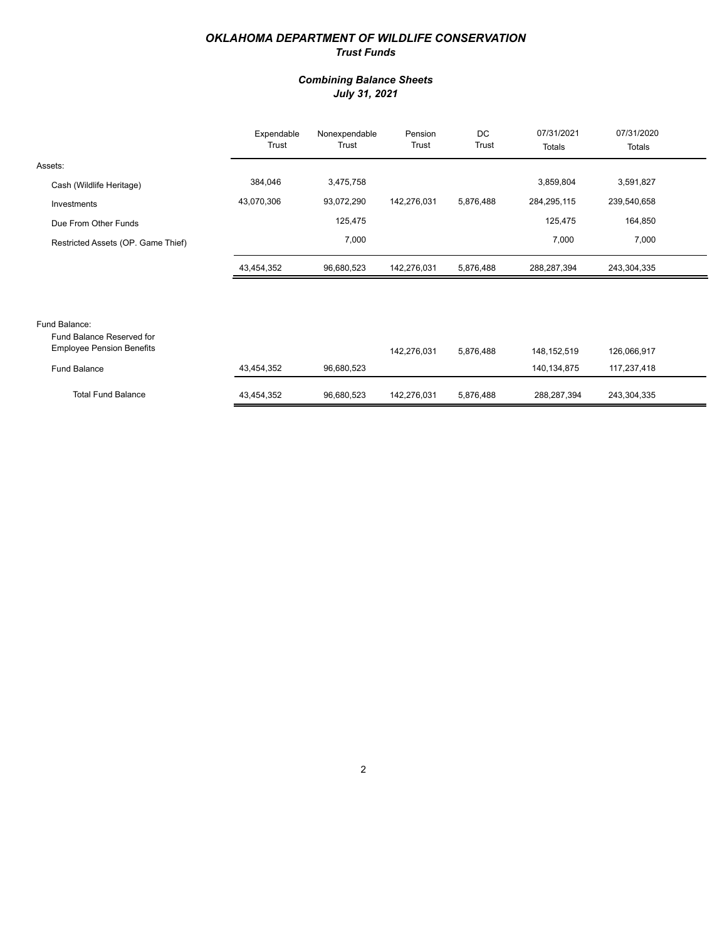### *OKLAHOMA DEPARTMENT OF WILDLIFE CONSERVATION Trust Funds*

### *Combining Balance Sheets July 31, 2021*

|                                    | Expendable<br>Trust | Nonexpendable<br>Trust | Pension<br>Trust | DC<br>Trust | 07/31/2021<br>Totals | 07/31/2020<br>Totals |  |
|------------------------------------|---------------------|------------------------|------------------|-------------|----------------------|----------------------|--|
| Assets:                            |                     |                        |                  |             |                      |                      |  |
| Cash (Wildlife Heritage)           | 384,046             | 3,475,758              |                  |             | 3,859,804            | 3,591,827            |  |
| Investments                        | 43,070,306          | 93,072,290             | 142,276,031      | 5,876,488   | 284,295,115          | 239,540,658          |  |
| Due From Other Funds               |                     | 125,475                |                  |             | 125,475              | 164,850              |  |
| Restricted Assets (OP. Game Thief) |                     | 7,000                  |                  |             | 7,000                | 7,000                |  |
|                                    | 43,454,352          | 96,680,523             | 142,276,031      | 5,876,488   | 288,287,394          | 243,304,335          |  |

# Fund Balance:

| Fund Balance Reserved for<br><b>Employee Pension Benefits</b> |            |            | 142.276.031 | 5.876.488 | 148.152.519 | 126,066,917 |
|---------------------------------------------------------------|------------|------------|-------------|-----------|-------------|-------------|
| Fund Balance                                                  | 43,454,352 | 96,680,523 |             |           | 140,134,875 | 117,237,418 |
| <b>Total Fund Balance</b>                                     | 43,454,352 | 96.680.523 | 142.276.031 | 5.876.488 | 288,287,394 | 243,304,335 |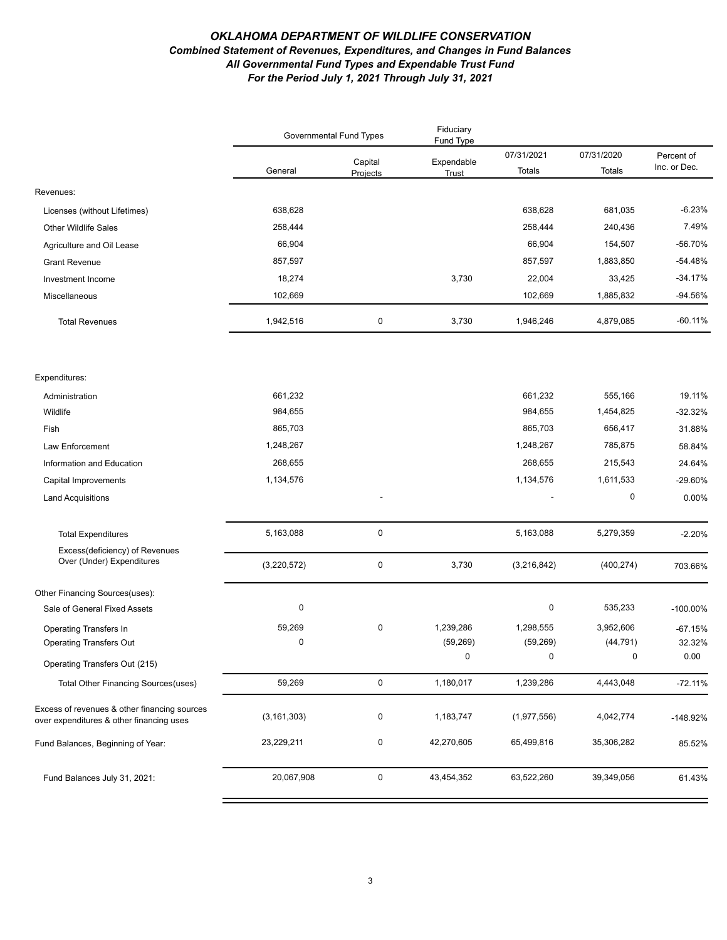#### *OKLAHOMA DEPARTMENT OF WILDLIFE CONSERVATION Combined Statement of Revenues, Expenditures, and Changes in Fund Balances All Governmental Fund Types and Expendable Trust Fund For the Period July 1, 2021 Through July 31, 2021*

|                                                                                          | <b>Governmental Fund Types</b> |                     | Fiduciary<br>Fund Type |                      |                      |                            |
|------------------------------------------------------------------------------------------|--------------------------------|---------------------|------------------------|----------------------|----------------------|----------------------------|
|                                                                                          | General                        | Capital<br>Projects | Expendable<br>Trust    | 07/31/2021<br>Totals | 07/31/2020<br>Totals | Percent of<br>Inc. or Dec. |
| Revenues:                                                                                |                                |                     |                        |                      |                      |                            |
| Licenses (without Lifetimes)                                                             | 638,628                        |                     |                        | 638,628              | 681,035              | $-6.23%$                   |
| <b>Other Wildlife Sales</b>                                                              | 258,444                        |                     |                        | 258,444              | 240,436              | 7.49%                      |
| Agriculture and Oil Lease                                                                | 66,904                         |                     |                        | 66,904               | 154,507              | -56.70%                    |
| <b>Grant Revenue</b>                                                                     | 857,597                        |                     |                        | 857,597              | 1,883,850            | $-54.48%$                  |
| Investment Income                                                                        | 18,274                         |                     | 3,730                  | 22,004               | 33,425               | $-34.17%$                  |
| Miscellaneous                                                                            | 102,669                        |                     |                        | 102,669              | 1,885,832            | -94.56%                    |
| <b>Total Revenues</b>                                                                    | 1,942,516                      | $\pmb{0}$           | 3,730                  | 1,946,246            | 4,879,085            | $-60.11%$                  |
|                                                                                          |                                |                     |                        |                      |                      |                            |
| Expenditures:                                                                            | 661,232                        |                     |                        |                      |                      | 19.11%                     |
| Administration<br>Wildlife                                                               | 984,655                        |                     |                        | 661,232<br>984,655   | 555,166<br>1,454,825 | $-32.32%$                  |
| Fish                                                                                     | 865,703                        |                     |                        | 865,703              | 656,417              | 31.88%                     |
| Law Enforcement                                                                          | 1,248,267                      |                     |                        | 1,248,267            | 785,875              | 58.84%                     |
| Information and Education                                                                | 268,655                        |                     |                        | 268,655              | 215,543              | 24.64%                     |
| Capital Improvements                                                                     | 1,134,576                      |                     |                        | 1,134,576            | 1,611,533            | -29.60%                    |
| <b>Land Acquisitions</b>                                                                 |                                |                     |                        |                      | 0                    | 0.00%                      |
|                                                                                          |                                |                     |                        |                      |                      |                            |
| <b>Total Expenditures</b>                                                                | 5,163,088                      | $\pmb{0}$           |                        | 5,163,088            | 5,279,359            | $-2.20%$                   |
| Excess(deficiency) of Revenues<br>Over (Under) Expenditures                              | (3,220,572)                    | $\pmb{0}$           | 3,730                  | (3,216,842)          | (400, 274)           | 703.66%                    |
| Other Financing Sources(uses):                                                           |                                |                     |                        |                      |                      |                            |
| Sale of General Fixed Assets                                                             | $\pmb{0}$                      |                     |                        | 0                    | 535,233              | $-100.00\%$                |
| Operating Transfers In                                                                   | 59,269                         | $\pmb{0}$           | 1,239,286              | 1,298,555            | 3,952,606            | $-67.15%$                  |
| <b>Operating Transfers Out</b>                                                           | $\mathbf 0$                    |                     | (59, 269)              | (59, 269)            | (44, 791)            | 32.32%                     |
| Operating Transfers Out (215)                                                            |                                |                     | $\Omega$               | $\mathbf 0$          | $\Omega$             | 0.00                       |
| Total Other Financing Sources (uses)                                                     | 59,269                         | $\mathbf 0$         | 1,180,017              | 1,239,286            | 4,443,048            | $-72.11%$                  |
| Excess of revenues & other financing sources<br>over expenditures & other financing uses | (3, 161, 303)                  | 0                   | 1,183,747              | (1,977,556)          | 4,042,774            | $-148.92%$                 |
| Fund Balances, Beginning of Year:                                                        | 23,229,211                     | 0                   | 42,270,605             | 65,499,816           | 35,306,282           | 85.52%                     |
| Fund Balances July 31, 2021:                                                             | 20,067,908                     | $\mathbf 0$         | 43,454,352             | 63,522,260           | 39,349,056           | 61.43%                     |
|                                                                                          |                                |                     |                        |                      |                      |                            |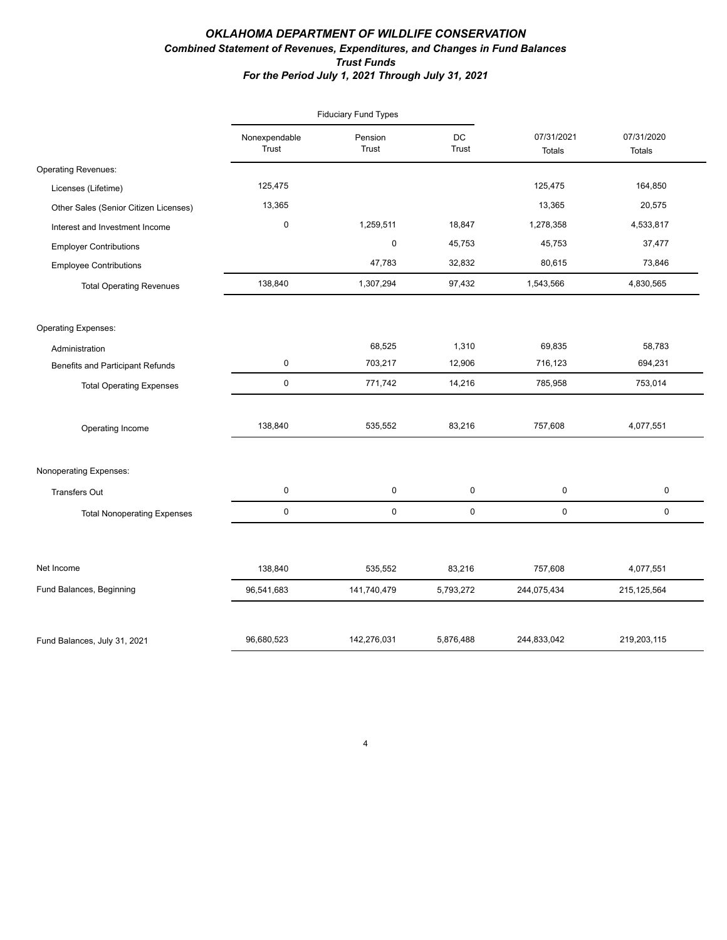### *OKLAHOMA DEPARTMENT OF WILDLIFE CONSERVATION Combined Statement of Revenues, Expenditures, and Changes in Fund Balances Trust Funds For the Period July 1, 2021 Through July 31, 2021*

|                                         |                        | <b>Fiduciary Fund Types</b> |                    |                             |                             |
|-----------------------------------------|------------------------|-----------------------------|--------------------|-----------------------------|-----------------------------|
|                                         | Nonexpendable<br>Trust | Pension<br>Trust            | DC<br><b>Trust</b> | 07/31/2021<br><b>Totals</b> | 07/31/2020<br><b>Totals</b> |
| <b>Operating Revenues:</b>              |                        |                             |                    |                             |                             |
| Licenses (Lifetime)                     | 125,475                |                             |                    | 125,475                     | 164,850                     |
| Other Sales (Senior Citizen Licenses)   | 13,365                 |                             |                    | 13,365                      | 20,575                      |
| Interest and Investment Income          | $\pmb{0}$              | 1,259,511                   | 18,847             | 1,278,358                   | 4,533,817                   |
| <b>Employer Contributions</b>           |                        | $\mathsf 0$                 | 45,753             | 45,753                      | 37,477                      |
| <b>Employee Contributions</b>           |                        | 47,783                      | 32,832             | 80,615                      | 73,846                      |
| <b>Total Operating Revenues</b>         | 138,840                | 1,307,294                   | 97,432             | 1,543,566                   | 4,830,565                   |
| <b>Operating Expenses:</b>              |                        |                             |                    |                             |                             |
| Administration                          |                        | 68,525                      | 1,310              | 69,835                      | 58,783                      |
| <b>Benefits and Participant Refunds</b> | $\mathbf 0$            | 703,217                     | 12,906             | 716,123                     | 694,231                     |
| <b>Total Operating Expenses</b>         | $\mathsf 0$            | 771,742                     | 14,216             | 785,958                     | 753,014                     |
| Operating Income                        | 138,840                | 535,552                     | 83,216             | 757,608                     | 4,077,551                   |
| Nonoperating Expenses:                  |                        |                             |                    |                             |                             |
| <b>Transfers Out</b>                    | 0                      | 0                           | 0                  | $\pmb{0}$                   | 0                           |
| <b>Total Nonoperating Expenses</b>      | $\mathsf 0$            | $\mathsf 0$                 | 0                  | $\mathbf 0$                 | $\mathbf 0$                 |
|                                         |                        |                             |                    |                             |                             |
| Net Income                              | 138,840                | 535,552                     | 83,216             | 757,608                     | 4,077,551                   |
| Fund Balances, Beginning                | 96,541,683             | 141,740,479                 | 5,793,272          | 244,075,434                 | 215, 125, 564               |
| Fund Balances, July 31, 2021            | 96,680,523             | 142,276,031                 | 5,876,488          | 244,833,042                 | 219,203,115                 |

4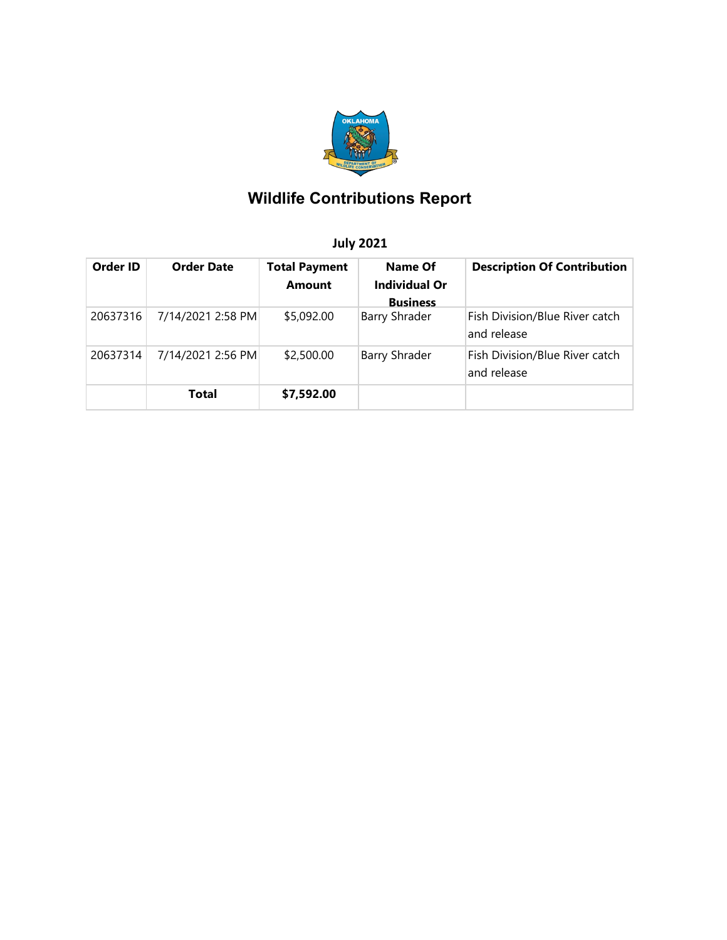

# **Wildlife Contributions Report**

# **July 2021**

| Order ID | <b>Order Date</b> | <b>Total Payment</b><br><b>Amount</b> | Name Of<br><b>Individual Or</b><br><b>Business</b> | <b>Description Of Contribution</b>            |
|----------|-------------------|---------------------------------------|----------------------------------------------------|-----------------------------------------------|
| 20637316 | 7/14/2021 2:58 PM | \$5,092.00                            | <b>Barry Shrader</b>                               | Fish Division/Blue River catch<br>and release |
| 20637314 | 7/14/2021 2:56 PM | \$2,500.00                            | <b>Barry Shrader</b>                               | Fish Division/Blue River catch<br>and release |
|          | Total             | \$7,592.00                            |                                                    |                                               |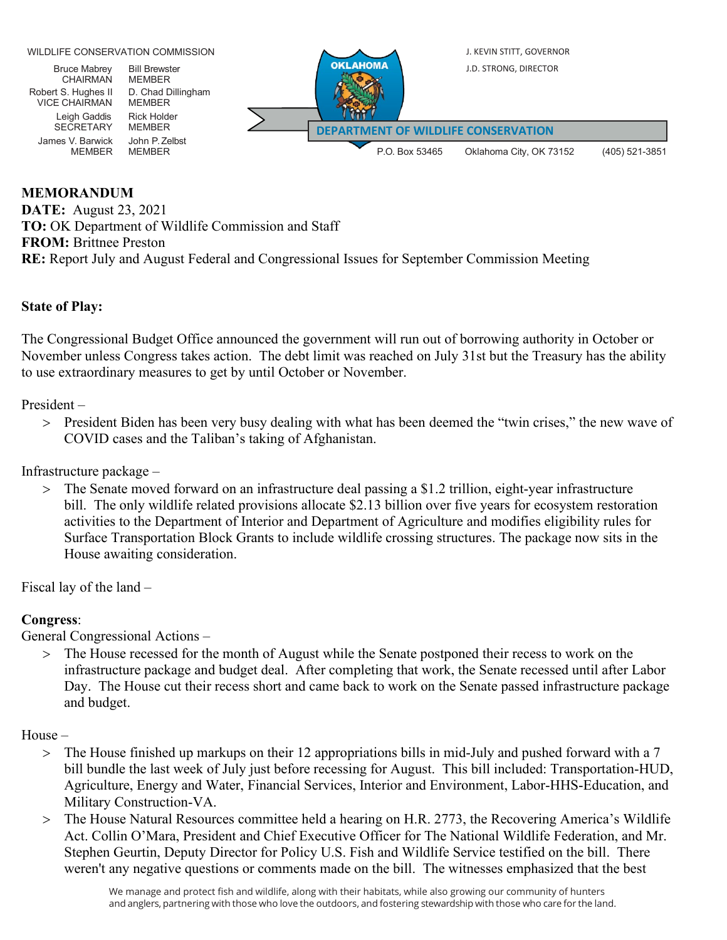

## **MEMORANDUM**

**DATE:** August 23, 2021 **TO:** OK Department of Wildlife Commission and Staff **FROM:** Brittnee Preston **RE:** Report July and August Federal and Congressional Issues for September Commission Meeting

## **State of Play:**

The Congressional Budget Office announced the government will run out of borrowing authority in October or November unless Congress takes action. The debt limit was reached on July 31st but the Treasury has the ability to use extraordinary measures to get by until October or November.

President –

> President Biden has been very busy dealing with what has been deemed the "twin crises," the new wave of COVID cases and the Taliban's taking of Afghanistan.

Infrastructure package –

> The Senate moved forward on an infrastructure deal passing a \$1.2 trillion, eight-year infrastructure bill. The only wildlife related provisions allocate \$2.13 billion over five years for ecosystem restoration activities to the Department of Interior and Department of Agriculture and modifies eligibility rules for Surface Transportation Block Grants to include wildlife crossing structures. The package now sits in the House awaiting consideration.

Fiscal lay of the land –

## **Congress**:

General Congressional Actions –

> The House recessed for the month of August while the Senate postponed their recess to work on the infrastructure package and budget deal. After completing that work, the Senate recessed until after Labor Day. The House cut their recess short and came back to work on the Senate passed infrastructure package and budget.

House –

- > The House finished up markups on their 12 appropriations bills in mid-July and pushed forward with a 7 bill bundle the last week of July just before recessing for August. This bill included: Transportation-HUD, Agriculture, Energy and Water, Financial Services, Interior and Environment, Labor-HHS-Education, and Military Construction-VA.
- > The House Natural Resources committee held a hearing on H.R. 2773, the Recovering America's Wildlife Act. Collin O'Mara, President and Chief Executive Officer for The National Wildlife Federation, and Mr. Stephen Geurtin, Deputy Director for Policy U.S. Fish and Wildlife Service testified on the bill. There weren't any negative questions or comments made on the bill. The witnesses emphasized that the best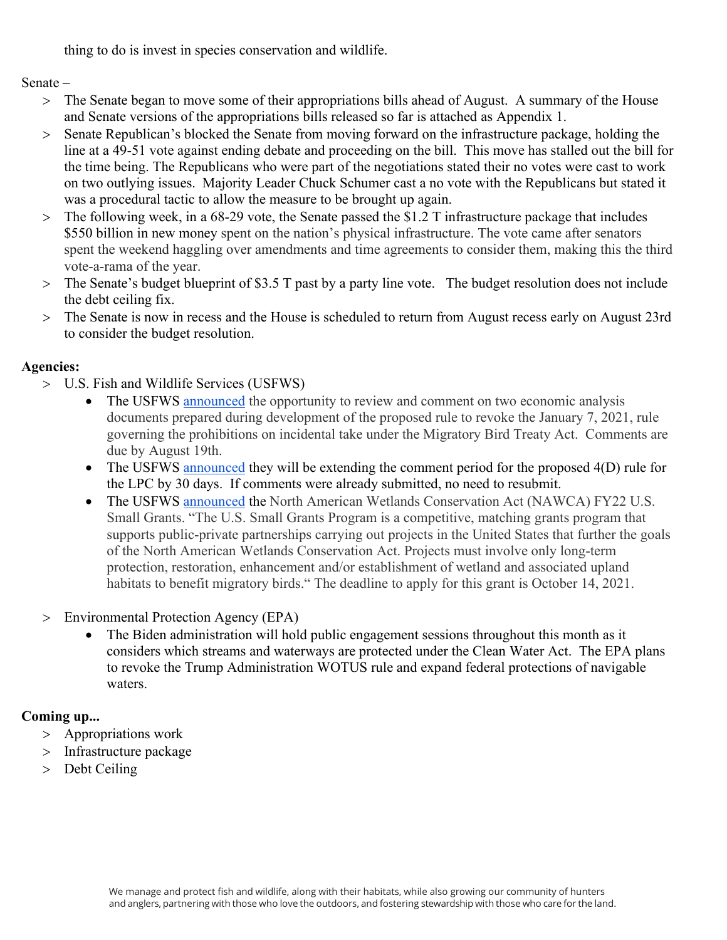thing to do is invest in species conservation and wildlife.

Senate –

- > The Senate began to move some of their appropriations bills ahead of August. A summary of the House and Senate versions of the appropriations bills released so far is attached as Appendix 1.
- > Senate Republican's blocked the Senate from moving forward on the infrastructure package, holding the line at a 49-51 vote against ending debate and proceeding on the bill. This move has stalled out the bill for the time being. The Republicans who were part of the negotiations stated their no votes were cast to work on two outlying issues. Majority Leader Chuck Schumer cast a no vote with the Republicans but stated it was a procedural tactic to allow the measure to be brought up again.
- > The following week, in a 68-29 vote, the Senate passed the \$1.2 T infrastructure package that includes \$550 billion in new money spent on the nation's physical infrastructure. The vote came after senators spent the weekend haggling over amendments and time agreements to consider them, making this the third vote-a-rama of the year.
- > The Senate's budget blueprint of \$3.5 T past by a party line vote. The budget resolution does not include the debt ceiling fix.
- > The Senate is now in recess and the House is scheduled to return from August recess early on August 23rd to consider the budget resolution.

# **Agencies:**

- > U.S. Fish and Wildlife Services (USFWS)
	- The USFWS [announced](https://www.federalregister.gov/documents/2021/07/20/2021-15368/economic-analysis-for-proposed-regulations-governing-the-take-of-migratory-birds?utm_campaign=subscription%20mailing%20list&utm_source=federalregister.gov&utm_medium=email) the opportunity to review and comment on two economic analysis documents prepared during development of the proposed rule to revoke the January 7, 2021, rule governing the prohibitions on incidental take under the Migratory Bird Treaty Act. Comments are due by August 19th.
	- The USFWS [announced](https://www.federalregister.gov/documents/2021/07/30/2021-16260/endangered-and-threatened-wildlife-and-plants-lesser-prairie-chicken-threatened-status-with-section?utm_campaign=subscription%20mailing%20list&utm_source=federalregister.gov&utm_medium=email) they will be extending the comment period for the proposed 4(D) rule for the LPC by 30 days. If comments were already submitted, no need to resubmit.
	- The USFWS [announced](https://www.grants.gov/web/grants/view-opportunity.html?oppId=335270) the North American Wetlands Conservation Act (NAWCA) FY22 U.S. Small Grants. "The U.S. Small Grants Program is a competitive, matching grants program that supports public-private partnerships carrying out projects in the United States that further the goals of the North American Wetlands Conservation Act. Projects must involve only long-term protection, restoration, enhancement and/or establishment of wetland and associated upland habitats to benefit migratory birds." The deadline to apply for this grant is October 14, 2021.
- > Environmental Protection Agency (EPA)
	- The Biden administration will hold public engagement sessions throughout this month as it considers which streams and waterways are protected under the Clean Water Act. The EPA plans to revoke the Trump Administration WOTUS rule and expand federal protections of navigable waters.

# **Coming up...**

- > Appropriations work
- > Infrastructure package
- > Debt Ceiling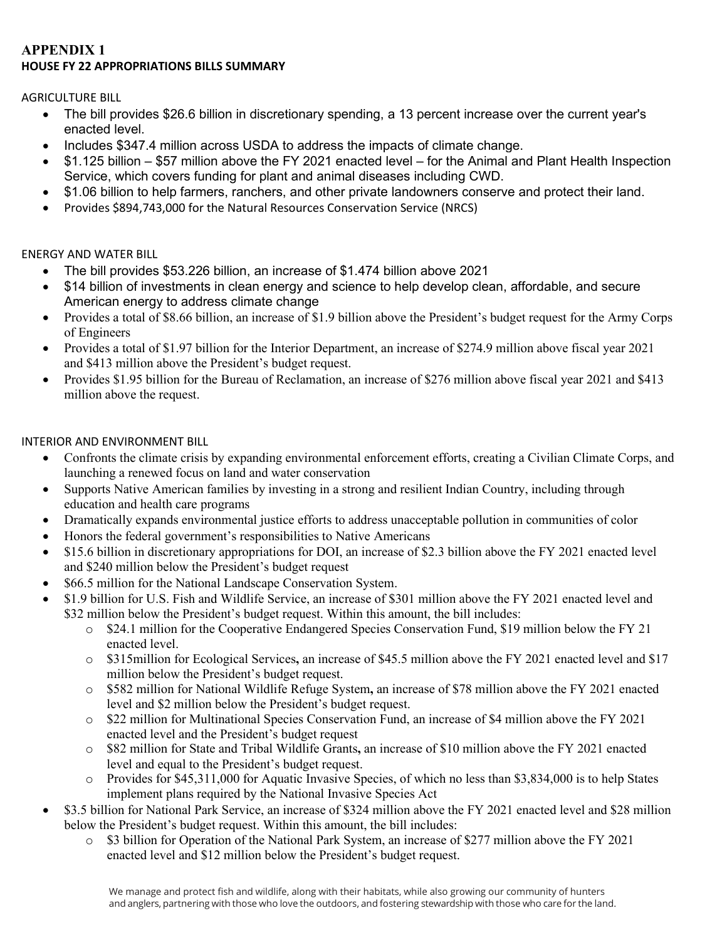## **APPENDIX 1 HOUSE FY 22 APPROPRIATIONS BILLS SUMMARY**

AGRICULTURE BILL

- The bill provides \$26.6 billion in discretionary spending, a 13 percent increase over the current year's enacted level.
- Includes \$347.4 million across USDA to address the impacts of climate change.
- \$1.125 billion \$57 million above the FY 2021 enacted level for the Animal and Plant Health Inspection Service, which covers funding for plant and animal diseases including CWD.
- \$1.06 billion to help farmers, ranchers, and other private landowners conserve and protect their land.
- Provides \$894,743,000 for the Natural Resources Conservation Service (NRCS)

# ENERGY AND WATER BILL

- The bill provides \$53.226 billion, an increase of \$1.474 billion above 2021
- \$14 billion of investments in clean energy and science to help develop clean, affordable, and secure American energy to address climate change
- Provides a total of \$8.66 billion, an increase of \$1.9 billion above the President's budget request for the Army Corps of Engineers
- Provides a total of \$1.97 billion for the Interior Department, an increase of \$274.9 million above fiscal year 2021 and \$413 million above the President's budget request.
- Provides \$1.95 billion for the Bureau of Reclamation, an increase of \$276 million above fiscal year 2021 and \$413 million above the request.

## INTERIOR AND ENVIRONMENT BILL

- Confronts the climate crisis by expanding environmental enforcement efforts, creating a Civilian Climate Corps, and launching a renewed focus on land and water conservation
- Supports Native American families by investing in a strong and resilient Indian Country, including through education and health care programs
- Dramatically expands environmental justice efforts to address unacceptable pollution in communities of color
- Honors the federal government's responsibilities to Native Americans
- \$15.6 billion in discretionary appropriations for DOI, an increase of \$2.3 billion above the FY 2021 enacted level and \$240 million below the President's budget request
- \$66.5 million for the National Landscape Conservation System.
- \$1.9 billion for U.S. Fish and Wildlife Service, an increase of \$301 million above the FY 2021 enacted level and \$32 million below the President's budget request. Within this amount, the bill includes:
	- o \$24.1 million for the Cooperative Endangered Species Conservation Fund, \$19 million below the FY 21 enacted level.
	- o \$315million for Ecological Services**,** an increase of \$45.5 million above the FY 2021 enacted level and \$17 million below the President's budget request.
	- o \$582 million for National Wildlife Refuge System**,** an increase of \$78 million above the FY 2021 enacted level and \$2 million below the President's budget request.
	- o \$22 million for Multinational Species Conservation Fund, an increase of \$4 million above the FY 2021 enacted level and the President's budget request
	- o \$82 million for State and Tribal Wildlife Grants**,** an increase of \$10 million above the FY 2021 enacted level and equal to the President's budget request.
	- o Provides for \$45,311,000 for Aquatic Invasive Species, of which no less than \$3,834,000 is to help States implement plans required by the National Invasive Species Act
- \$3.5 billion for National Park Service, an increase of \$324 million above the FY 2021 enacted level and \$28 million below the President's budget request. Within this amount, the bill includes:
	- o \$3 billion for Operation of the National Park System, an increase of \$277 million above the FY 2021 enacted level and \$12 million below the President's budget request.